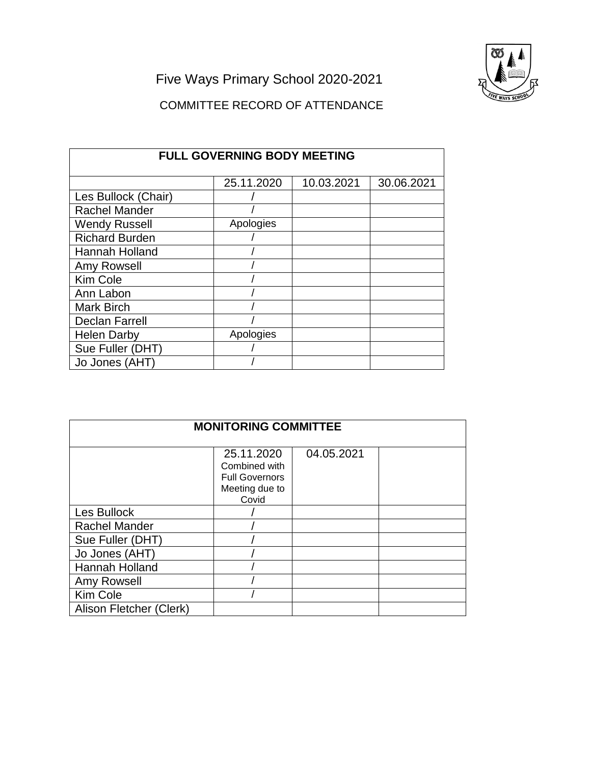Five Ways Primary School 2020-2021

## COMMITTEE RECORD OF ATTENDANCE

| <b>FULL GOVERNING BODY MEETING</b> |            |            |            |
|------------------------------------|------------|------------|------------|
|                                    | 25.11.2020 | 10.03.2021 | 30.06.2021 |
| Les Bullock (Chair)                |            |            |            |
| <b>Rachel Mander</b>               |            |            |            |
| <b>Wendy Russell</b>               | Apologies  |            |            |
| <b>Richard Burden</b>              |            |            |            |
| Hannah Holland                     |            |            |            |
| Amy Rowsell                        |            |            |            |
| <b>Kim Cole</b>                    |            |            |            |
| Ann Labon                          |            |            |            |
| <b>Mark Birch</b>                  |            |            |            |
| <b>Declan Farrell</b>              |            |            |            |
| <b>Helen Darby</b>                 | Apologies  |            |            |
| Sue Fuller (DHT)                   |            |            |            |
| Jo Jones (AHT)                     |            |            |            |

| <b>MONITORING COMMITTEE</b> |                                                                                 |            |  |
|-----------------------------|---------------------------------------------------------------------------------|------------|--|
|                             | 25.11.2020<br>Combined with<br><b>Full Governors</b><br>Meeting due to<br>Covid | 04.05.2021 |  |
| Les Bullock                 |                                                                                 |            |  |
| <b>Rachel Mander</b>        |                                                                                 |            |  |
| Sue Fuller (DHT)            |                                                                                 |            |  |
| Jo Jones (AHT)              |                                                                                 |            |  |
| <b>Hannah Holland</b>       |                                                                                 |            |  |
| Amy Rowsell                 |                                                                                 |            |  |
| Kim Cole                    |                                                                                 |            |  |
| Alison Fletcher (Clerk)     |                                                                                 |            |  |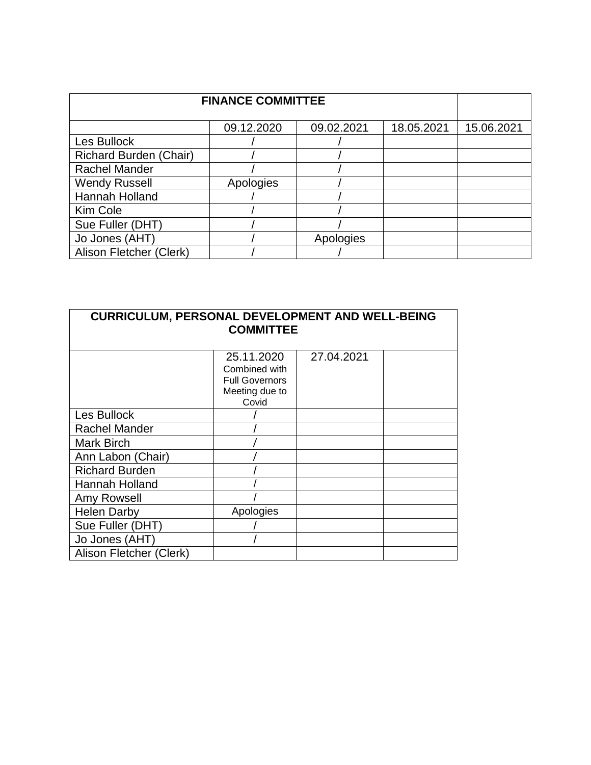| <b>FINANCE COMMITTEE</b> |            |            |            |            |
|--------------------------|------------|------------|------------|------------|
|                          | 09.12.2020 | 09.02.2021 | 18.05.2021 | 15.06.2021 |
| Les Bullock              |            |            |            |            |
| Richard Burden (Chair)   |            |            |            |            |
| <b>Rachel Mander</b>     |            |            |            |            |
| <b>Wendy Russell</b>     | Apologies  |            |            |            |
| Hannah Holland           |            |            |            |            |
| Kim Cole                 |            |            |            |            |
| Sue Fuller (DHT)         |            |            |            |            |
| Jo Jones (AHT)           |            | Apologies  |            |            |
| Alison Fletcher (Clerk)  |            |            |            |            |

| <b>CURRICULUM, PERSONAL DEVELOPMENT AND WELL-BEING</b><br><b>COMMITTEE</b> |                                                                                 |            |  |
|----------------------------------------------------------------------------|---------------------------------------------------------------------------------|------------|--|
|                                                                            | 25.11.2020<br>Combined with<br><b>Full Governors</b><br>Meeting due to<br>Covid | 27.04.2021 |  |
| Les Bullock                                                                |                                                                                 |            |  |
| <b>Rachel Mander</b>                                                       |                                                                                 |            |  |
| Mark Birch                                                                 |                                                                                 |            |  |
| Ann Labon (Chair)                                                          |                                                                                 |            |  |
| <b>Richard Burden</b>                                                      |                                                                                 |            |  |
| Hannah Holland                                                             |                                                                                 |            |  |
| Amy Rowsell                                                                |                                                                                 |            |  |
| <b>Helen Darby</b>                                                         | Apologies                                                                       |            |  |
| Sue Fuller (DHT)                                                           |                                                                                 |            |  |
| Jo Jones (AHT)                                                             |                                                                                 |            |  |
| Alison Fletcher (Clerk)                                                    |                                                                                 |            |  |